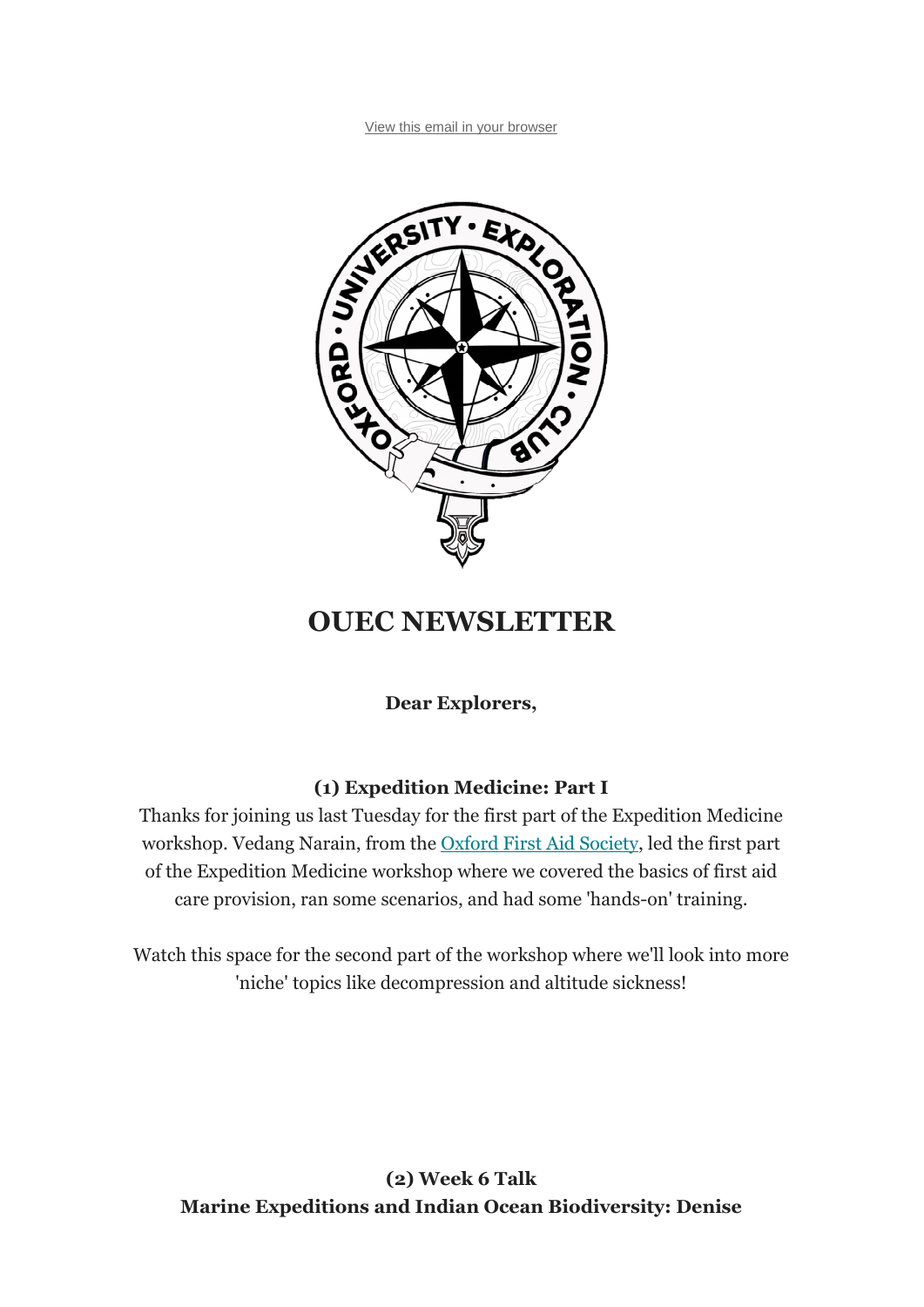

# **OUEC NEWSLETTER**

**Dear Explorers,**

## **(1) Expedition Medicine: Part I**

Thanks for joining us last Tuesday for the first part of the Expedition Medicine workshop. Vedang Narain, from the Oxford First Aid Society, led the first part of the Expedition Medicine workshop where we covered the basics of first aid care provision, ran some scenarios, and had some 'hands-on' training.

Watch this space for the second part of the workshop where we'll look into more 'niche' topics like decompression and altitude sickness!

**(2) Week 6 Talk Marine Expeditions and Indian Ocean Biodiversity: Denise**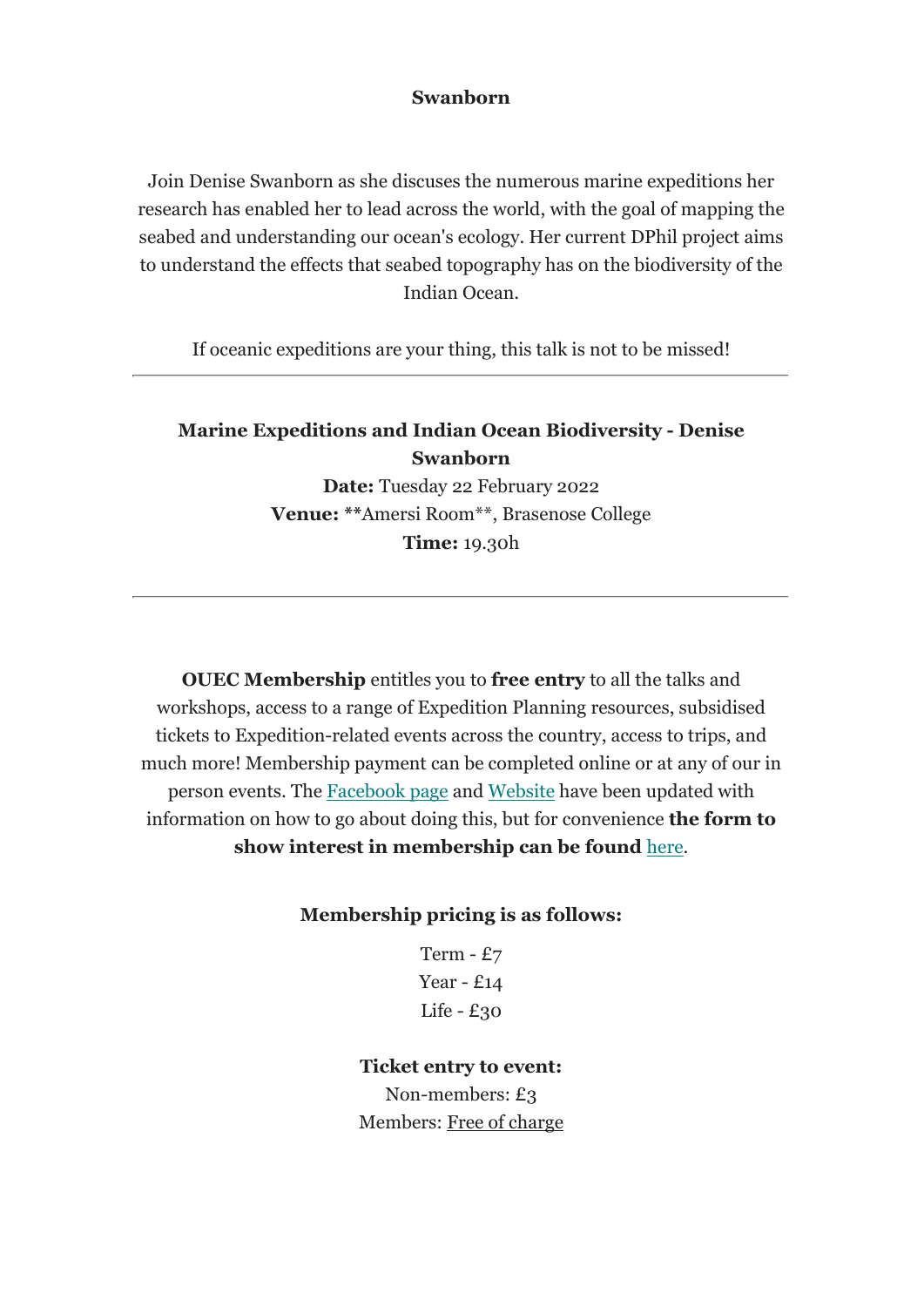#### **Swanborn**

Join Denise Swanborn as she discuses the numerous marine expeditions her research has enabled her to lead across the world, with the goal of mapping the seabed and understanding our ocean's ecology. Her current DPhil project aims to understand the effects that seabed topography has on the biodiversity of the Indian Ocean.

If oceanic expeditions are your thing, this talk is not to be missed!

## **Marine Expeditions and Indian Ocean Biodiversity - Denise Swanborn**

**Date:** Tuesday 22 February 2022 **Venue: \*\***Amersi Room\*\*, Brasenose College **Time:** 19.30h

**OUEC Membership** entitles you to **free entry** to all the talks and workshops, access to a range of Expedition Planning resources, subsidised tickets to Expedition-related events across the country, access to trips, and much more! Membership payment can be completed online or at any of our in person events. The Facebook page and Website have been updated with information on how to go about doing this, but for convenience **the form to show interest in membership can be found** here.

#### **Membership pricing is as follows:**

Term - £7 Year - £14 Life - £30

#### **Ticket entry to event:**

Non-members: £3 Members: Free of charge